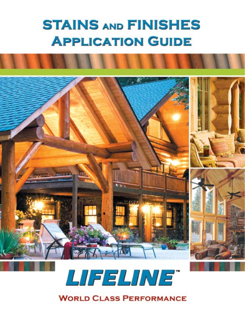# **STAINS AND FINISHES APPLICATION GUIDE**



# LIFELINE" **WORLD CLASS PERFORMANCE**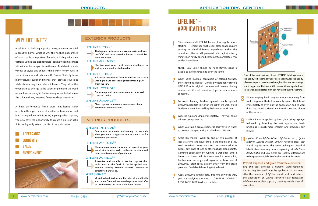

### **WHY LIFELINE™ ?**

In addition to building a quality home, you want to build a beautiful home, which is why the finished appearance of your logs is so important. By using a hiqh quality stain upfront, you'll get a distinguished looking wood finish that will set your home apart from the rest. Available in a wide variety of styles and shades (think warm honey hues to spicy cinnamon and rich walnut), Perma-Chink Systems manufactures superior finishes that protect your logs while showcasing their inherent beauty. They allow the wood grain to emerge so the color complements the wood rather than covering it. Unlike many other tinted stains the color endures, meaning fewer touchups over time.

A high performance finish gives long-lasting color retention through the use of a balanced formulation and long lasting mildew inhibitors. By applying a clear topcoat, you also have the opportunity to create a gloss or satin finish and greatly extend the life of the stain system.

### **INTERIOR PRODUCTS**

#### **Lifeline Interior**tm



Can be used as a color and sealing coat on walls when you want to apply an interior clear-coat for additional protection.

#### **Lifeline Accents**TM



The new colors create a wonderful accent for your wood trim, interior walls, millwork, furniture and other wood elements of your home.

#### LIFELINE **ACRYLIC<sup>TM</sup>**

Attractive and durable protective topcoat that adds depth to the finish. It can be applied over Lifeline Interior, Lifeline Accents, Prelude or directly to bare wood.

#### **SURE SHINETM**







- When using multiple containers of colored finishes, they should be 'boxed'. Do this by thoroughly stirring LIFELINE in its original container and then combining contents of different containers together in a separate container. **2**
- To avoid leaning ladders against freshly applied LIFELINE, it is best to start at the top of the wall. Place ladder end on unfinished logs below your work line. **3**
- Wipe up runs and drips immediately. They will come off best using a wet rag. **4**
- When you take a break, submerge sprayer tip in water to prevent clogging with partially dried LIFELINE. **5**
- Avoid lap marks. Work on one or two courses of logs at a time and never stop in the middle of a log. Work to natural break points such as corners, window edges, butt ends of logs or other natural break points. Continue application by running a wet edge until a break point is reached. As you approach a break point, feather your wet edge and begin to run brush out of LIFELINE. Start spray pattern away from the break point and finish back-brushing to the break. **6**
- Apply LIFELINE in thin coats. If it runs down the wall, you are applying too much. OBSERVE CORRECT COVERAGE RATES as listed on label. **7**
- When spraying, hold spray tip about 1 foot away from wall, using smooth strokes to apply evenly. Back-brush immediately to even out the application and to work finish into wood surfaces and into fissures and checks at the surface. **8**
- LIFELINE can be applied by brush, but using a sprayer followed by brushing the wet application (backbrushing) is much more efficient and produces best results. **9**
- *Lifeline Ultra-7, Lifeline Ultra-2, Lifeline Accents, Lifeline Exterior, Lifeline Interior, Lifeline Advance* clear coat are all applied using the same techniques. Read all label instructions fully before beginning. *Acrylic Gloss*, *Acrylic Satin* and *Sure Shine* are slightly different and techniques vary slightly. See label instructions for details. **10**

Stir containers of LIFELINE finishes thoroughly before starting. Remember that even clear-coats require stirring to blend different ingredients within the container. Use a drill powered paint agitator for 5 minutes on newly opened container to completely mix settled ingredients.

NOTE: *Sure Shine* should be hand-stirred, using a paddle to avoid entrapping air in the liquid.

### **LIFELINE™ - APPLICATION TIPS**

**1**

One of the best features of our LIFELINE finish systems is the ability to breathe or vapor permeability. It's the ability of water vapor to permeate through a film. We encourage you to apply our finishes in thin layers. When applied too thick even acrylic latex film can have difficulty breathing.

#### **Protect exposed end-grain from the elements!**

*Log End Seal* provides a durable, water-repellent barrier. *Log End Seal* must be applied in a thin coat after the basecoat of *Lifeline* wood finish and before the application of *Lifeline Advance* clear topcoatof *Lifeline Advance* clear topcoat, creating a triple layer of protection.

#### **EXTERIOR PRODUCTS**

#### **Lifeline Ultra-7**tm

The highest performance one-coat stain with very low VOC and unsurpassed adhesion to wood. For walls and decks.

#### **Lifeline Accents**tm

The two-coat color finish system developed to make your home look fashionable.

#### **Lifeline Ultra-2**tm



Advanced waterborne formula enriches the natural wood grain and protects against damaging UV from the sun.

#### **Lifeline Exterior**tm



#### **Lifeline Advance**tm

Clear topcoat - the second component of our exterior wall finish system.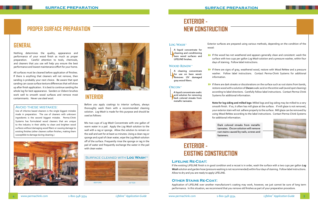Exterior surfaces are prepared using various methods, depending on the condition of the

If the wood has not weathered and appears generally clean and consistent: wash the surface with two cups per gallon *Log Wash* solution and a pressure washer, within four

wood:

If there are signs of gray, weathered wood, restore with *Wood ReNew* and a pressure washer. Follow label instructions. Contact Perma-Chink Systems for additional

If there are dark streaks or discolorations on the surface such as rust stains from bands, restore wood with a solution of *Oxcon* oxalic acid on the entire wall (avoid spot cleaning) according to label directions. Carefully follow label instructions. Contact Perma-Chink



- days of staining. Follow label instructions.
- information.
- Systems for additional information.

**Note for log siding and milled logs:** Milled logs and log siding may be milled to a very smooth finish. If so, it often has mill glaze at the surface. If mill glaze is not removed, your exterior stain will not adhere properly to the surface. Mill glaze can be removed by using *Wood ReNew* according to the label instructions. Contact Perma-Chink Systems for additional information.

**EXTERIOR -** 

**NEW CONSTRUCTION**

#### **WOOD RENEW™**

A liquid concentrate for cleaning and conditioning bare wood surfaces and LIFELINE finishes.

A cleaning concentrate for use on bare wood. Removes UV damaged gray wood fibers.

#### OXCON<sup>TM</sup>

A liquid concentrate oxalic **Accid solution for removing** dark colored streaks from metallic tannates.



## **EXTERIOR - EXISTING CONSTRUCTION**

#### **Lifeline Re-Coat:**

If the existing LIFELINE finish is in good condition and a recoat is in order, wash the surface with a two cups per gallon *Log Wash* solution and garden hose (pressure washing is not recommended) within four days of staining. Follow label instructions. Allow to dry and you are ready to apply LIFELINE.

### **Other Stains Re-Coat:**

Application of LIFELINE over another manufacturer's coating may work, however, we just cannot be sure of long term performance. In this situation, we recommend that you remove old finishes as part of your preparation procedure.

Dark colored streaks from metallic tannates. Oxcon solution will remove rust stains caused by nails, screws and fasteners.

Nothing determines the quality, appearance and performance of your wood finish as much as proper preparation. Careful attention to tools, chemicals, and cleaners that you use will help you ensure the best performance and lowest maintenance effort for your home.

All surfaces must be cleaned before application of finishes. If there is anything that cleaners will not remove, then sanding is probably your next choice. Be aware that spot sanding can cause surface texture differences that will show up after finish application. It is best to continue sanding the whole log for best appearance. Sanders or *Osborn* brushes work well to smooth wood surfaces and remove most contaminants. Never use steel wool.

#### Avoid these mistakes:

Use of chlorine based cleaners is the single biggest mistake made in preparation. The use of cleaners with unknown ingredients is the second biggest mistake. Perma-Chink Systems has formulated wood cleaners that are unique to the industry in their ability to clean and brighten wood surfaces without damaging wood fibers or causing damage to existing finishes (other cleaners soften finishes, making them susceptible to damage during cleaning.)





### **PROPER SURFACE PREPARATION**

### Surface cleaned with **Log Wash**tm



### **LOG WASH**<sup>™</sup>

Before you apply coatings to interior surfaces, always thoroughly wash them with a recommended cleaning solution. *Log Wash* is made for this purpose and should be used as follows:

Mix two cups of *Log Wash* Concentrate with one gallon of warm water in a pail. Apply the *Log Wash* solution to the wall with a rag or sponge. Allow the solution to remain on the wall and wet for at least 10 minutes. Using a clean rag or sponge and a pail of clean water, wipe the *Log Wash* solution off of the surface. Frequently rinse the sponge or rag in the pail of water and frequently exchange the water in the pail with clean water.

### **GENERAL**

### **INTERIOR**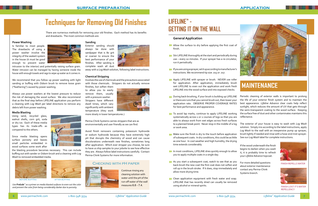www.permachink.com 1-800-548-3554*Lifeline™* www.permachink.com 1-800-548-3554*Lifeline Application Guide* **7** *™* **6** *Application Guide*

## **LIFELINE™ - GETTING IT ON THE WALL**

#### **General Application**

- Allow the surface to dry before applying the first coat of finish.
- Stir LIFELINE thoroughly at the start and periodically during 8 use – every 10 minutes. If your sprayer has a re-circulator, run it periodically.
- If you are using a sprayer, set it up according to manufacturer's 8 instructions. We recommend tip size .015 or .017.
- Apply LIFELINE with sprayer or brush. NEVER use roller for application. After application, immediately brush wet LIFELINE to even out the application and work fresh LIFELINE into the wood surface and into exposed checks.
- During back-brushing, if your brush is building up LIFELINE or there are runs that you cannot brush out, then lower your application rate. OBSERVE PROPER COVERAGE RATES for best performance and appearance.
- $\blacktriangleright$  To avoid lap marks, continue to apply LIFELINE working systematically across 1 or 2 courses of logs so that you are able to always work from wet edges across fresh surfaces to a planned break point. Never stop in the middle of a log or work area.
- $\blacktriangleright$  Make sure the finish is dry to the touch before application of subsequent coats. In dry conditions, this could be as little as one hour. In cool weather and high humidity, the drying time extends considerably.
- In most conditions, LIFELINE dries quickly enough to allow you to apply multiple coats in a single day.
- As you start a subsequent coat, watch to see that as you<br>hack bruch the new coat the first coat does not ceften and<br>hack high the new coat the first coat does not ceften and back-brush the new coat the first coat does not soften and roll up in the brush stroke. If it does, stop immediately and allow more drying time.
- Clean application equipment with fresh water and soap. 8 LIFELINE that has recently dried can usually be removed using alcohol or mineral spirits.



## **MAINTENANCE**

Periodic cleaning of exterior walls is important to prolong the life of your exterior finish system and to maintain the best appearance. *Lifeline Advance* clear coats help reflect sunlight, which reduces the amount of UV that gets through the semi-transparent coating to the wood surface. Keeping the surface free of dust and other contaminates maintains this reflectance.

The exterior of your house is easy to wash with *Log Wash* solution. Simply mix according to the label instructions, apply *Log Wash* to the wall with an inexpensive pump up sprayer, brush lightly if needed and rinse with a hose-end mist sprayer. See our *Log Wash* label for complete instructions.



If the wood underneath the finish begins to darken when you wash it, it is probably time to refresh your *Lifeline Advance* topcoat.

For more detailed questions about exterior maintenance contact any Perma-Chink Systems branch.

Use **Prelude**<sup>™</sup> as a primer on media blasted surfaces to even out the color *Department of the color in the color and prevent the color from being considerably darker due to porosity.*

#### **Power Washing**

Is familiar to most people. The drawbacks of using a power washer involve the integrity of the sealant system in the house (it must be good enough to prevent water



intrusion to the interior) and potentially raising surface grain. Water intrusion can be managed by having someone inside the house with enough towels and rags to wipe up water as it comes in.

We recommend that you follow up power washing with light sanding or buffing with *Osborn* brush to remove loose grain ("feathering") caused by power washing.

Always use power washers at the lowest pressure to reduce the risk of damaging the wood surface. We also recommend that as the final step before LIFELINE application you perform a cleaning with *Log Wash* per label directions to remove any debris left from power washing.

#### **Sanding**

Exterior sanding should always be done with sandpaper that is 80 grit or coarser to ensure the best performance of your finishes. After sanding is complete wash all dust



away with a *Log Wash* solution, following label instructions.

#### **Chemical Stripping**

Involves the use of chemicals and the precautions associated with those chemicals. Strippers do not actually remove

finishes, but soften them to allow you to easily remove them, usually with a pressure washer. Strippers have different dwell times, which vary significantly with ambient temperature (they work



more slowly in lower temperatures.)

Perma-Chink Systems carries strippers that are as environmentally and user friendly as we can find.

Avoid finish removers containing potassium hydroxide or sodium hydroxide because they have extremely high pH that disrupts the chemistry of wood and can cause discolorations underneath new finishes, sometimes long after application. Which ever stripper you choose, be sure to have us ship samples to your jobsite to see how effective they are. Always follow label instructions carefully. Contact Perma-Chink Systems for more information.

#### **Media Blasting**

Using sand, recycled glass, walnut shells, corn grit, soda or dry ice. Each of these media types has its trade-offs as compared to the others.

Since media blasting opens surface porosity and leaves small particles embedded in wood surfaces some work after



the blasting procedure becomes necessary. This can include buffing out with sander or *Osborn* brush and a cleaning with *Log Wash* to removed embedded media.

## **Techniques for Removing Old Finishes**

There are numerous methods for removing your old finishes. Each method has its benefits and drawbacks. The most common methods are:



before buffing after buffing

### Checking with pH paper



Continue rinsing any cleaning solution with water until the pH of the run-off water of the wall